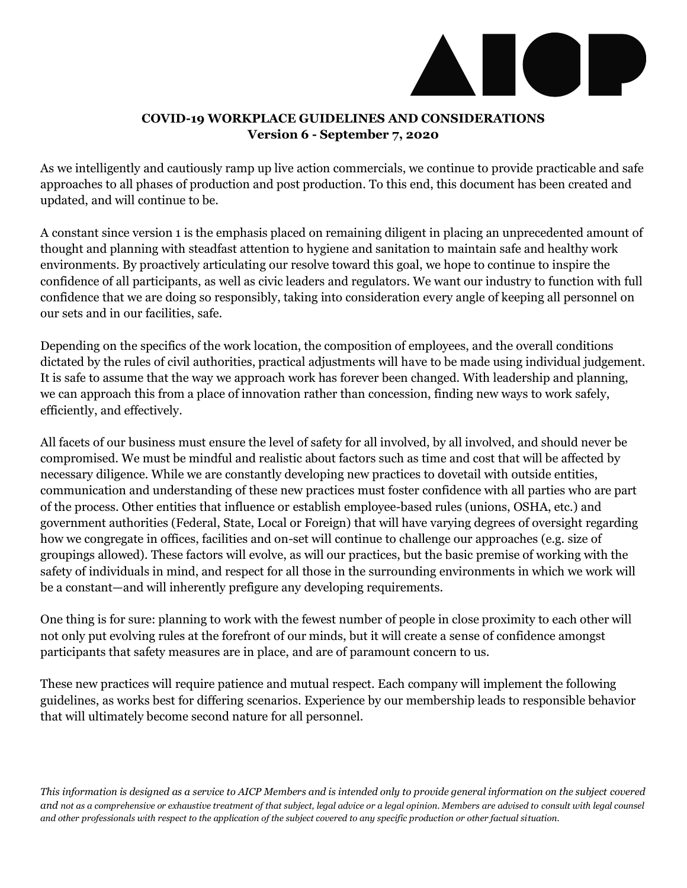

## **COVID-19 WORKPLACE GUIDELINES AND CONSIDERATIONS Version 6 - September 7, 2020**

As we intelligently and cautiously ramp up live action commercials, we continue to provide practicable and safe approaches to all phases of production and post production. To this end, this document has been created and updated, and will continue to be.

A constant since version 1 is the emphasis placed on remaining diligent in placing an unprecedented amount of thought and planning with steadfast attention to hygiene and sanitation to maintain safe and healthy work environments. By proactively articulating our resolve toward this goal, we hope to continue to inspire the confidence of all participants, as well as civic leaders and regulators. We want our industry to function with full confidence that we are doing so responsibly, taking into consideration every angle of keeping all personnel on our sets and in our facilities, safe.

Depending on the specifics of the work location, the composition of employees, and the overall conditions dictated by the rules of civil authorities, practical adjustments will have to be made using individual judgement. It is safe to assume that the way we approach work has forever been changed. With leadership and planning, we can approach this from a place of innovation rather than concession, finding new ways to work safely, efficiently, and effectively.

All facets of our business must ensure the level of safety for all involved, by all involved, and should never be compromised. We must be mindful and realistic about factors such as time and cost that will be affected by necessary diligence. While we are constantly developing new practices to dovetail with outside entities, communication and understanding of these new practices must foster confidence with all parties who are part of the process. Other entities that influence or establish employee-based rules (unions, OSHA, etc.) and government authorities (Federal, State, Local or Foreign) that will have varying degrees of oversight regarding how we congregate in offices, facilities and on-set will continue to challenge our approaches (e.g. size of groupings allowed). These factors will evolve, as will our practices, but the basic premise of working with the safety of individuals in mind, and respect for all those in the surrounding environments in which we work will be a constant—and will inherently prefigure any developing requirements.

One thing is for sure: planning to work with the fewest number of people in close proximity to each other will not only put evolving rules at the forefront of our minds, but it will create a sense of confidence amongst participants that safety measures are in place, and are of paramount concern to us.

These new practices will require patience and mutual respect. Each company will implement the following guidelines, as works best for differing scenarios. Experience by our membership leads to responsible behavior that will ultimately become second nature for all personnel.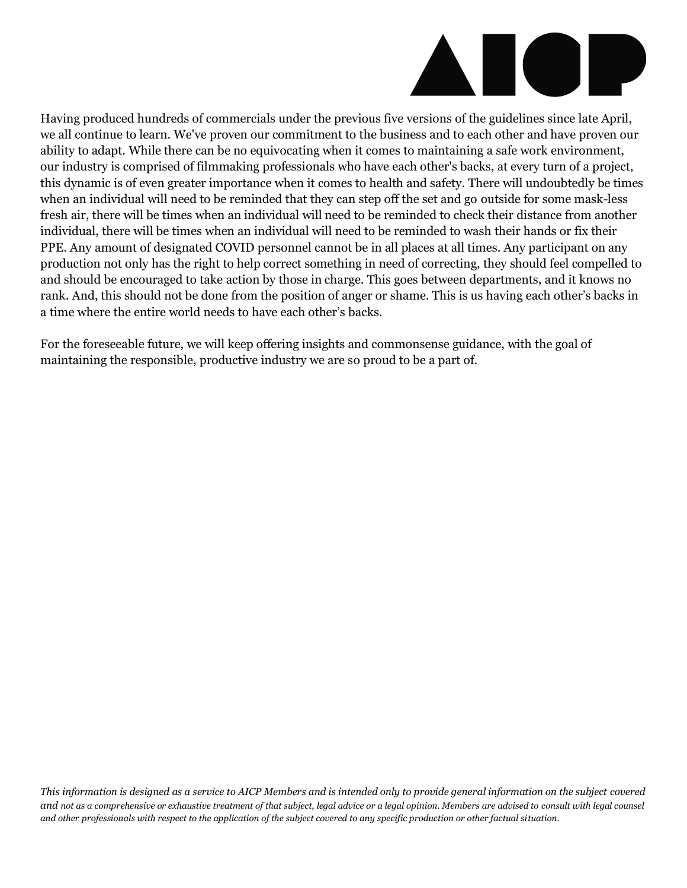

Having produced hundreds of commercials under the previous five versions of the guidelines since late April, we all continue to learn. We've proven our commitment to the business and to each other and have proven our ability to adapt. While there can be no equivocating when it comes to maintaining a safe work environment, our industry is comprised of filmmaking professionals who have each other's backs, at every turn of a project, this dynamic is of even greater importance when it comes to health and safety. There will undoubtedly be times when an individual will need to be reminded that they can step off the set and go outside for some mask-less fresh air, there will be times when an individual will need to be reminded to check their distance from another individual, there will be times when an individual will need to be reminded to wash their hands or fix their PPE. Any amount of designated COVID personnel cannot be in all places at all times. Any participant on any production not only has the right to help correct something in need of correcting, they should feel compelled to and should be encouraged to take action by those in charge. This goes between departments, and it knows no rank. And, this should not be done from the position of anger or shame. This is us having each other's backs in a time where the entire world needs to have each other's backs.

For the foreseeable future, we will keep offering insights and commonsense guidance, with the goal of maintaining the responsible, productive industry we are so proud to be a part of.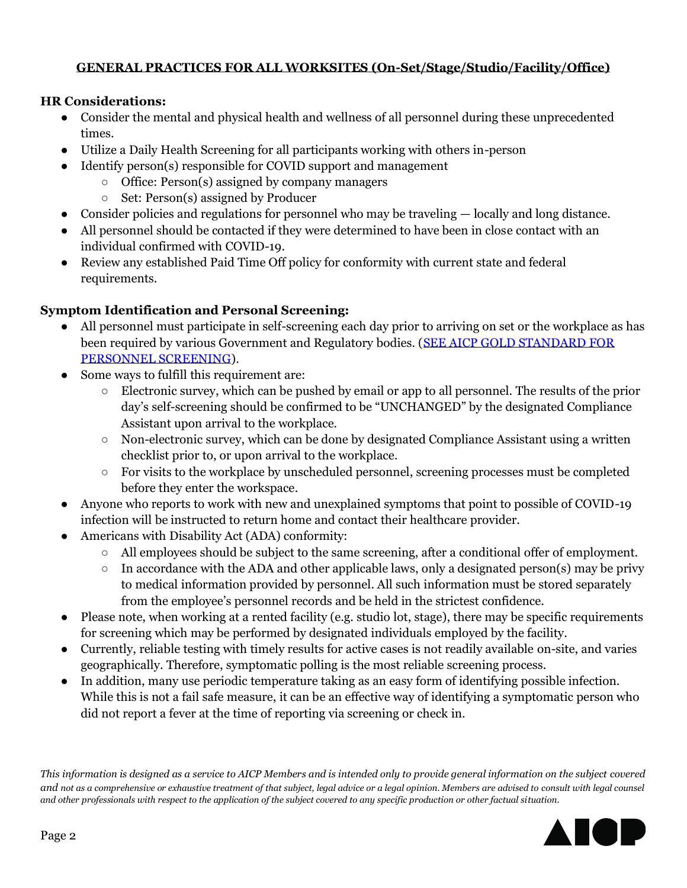# **GENERAL PRACTICES FOR ALL WORKSITES (On-Set/Stage/Studio/Facility/Office)**

## **HR Considerations:**

- Consider the mental and physical health and wellness of all personnel during these unprecedented times.
- Utilize a Daily Health Screening for all participants working with others in-person
- Identify person(s) responsible for COVID support and management
	- Office: Person(s) assigned by company managers
		- Set: Person(s) assigned by Producer
- Consider policies and regulations for personnel who may be traveling locally and long distance.
- All personnel should be contacted if they were determined to have been in close contact with an individual confirmed with COVID-19.
- Review any established Paid Time Off policy for conformity with current state and federal requirements.

# **Symptom Identification and Personal Screening:**

- All personnel must participate in self-screening each day prior to arriving on set or the workplace as has been required by various Government and Regulatory bodies. [\(SEE AICP GOLD STANDARD FOR](https://www.aicp.com/business-resources/business-affairs-information/aicp-guidlines/covid-19-workplace-guidelines/aicp-gold-standard-for-personnel-screening/)  [PERSONNEL SCREENING\)](https://www.aicp.com/business-resources/business-affairs-information/aicp-guidlines/covid-19-workplace-guidelines/aicp-gold-standard-for-personnel-screening/).
- Some ways to fulfill this requirement are:
	- Electronic survey, which can be pushed by email or app to all personnel. The results of the prior day's self-screening should be confirmed to be "UNCHANGED" by the designated Compliance Assistant upon arrival to the workplace.
	- Non-electronic survey, which can be done by designated Compliance Assistant using a written checklist prior to, or upon arrival to the workplace.
	- For visits to the workplace by unscheduled personnel, screening processes must be completed before they enter the workspace.
- Anyone who reports to work with new and unexplained symptoms that point to possible of COVID-19 infection will be instructed to return home and contact their healthcare provider.
- Americans with Disability Act (ADA) conformity:
	- All employees should be subject to the same screening, after a conditional offer of employment.
	- $\circ$  In accordance with the ADA and other applicable laws, only a designated person(s) may be privy to medical information provided by personnel. All such information must be stored separately from the employee's personnel records and be held in the strictest confidence.
- Please note, when working at a rented facility (e.g. studio lot, stage), there may be specific requirements for screening which may be performed by designated individuals employed by the facility.
- Currently, reliable testing with timely results for active cases is not readily available on-site, and varies geographically. Therefore, symptomatic polling is the most reliable screening process.
- In addition, many use periodic temperature taking as an easy form of identifying possible infection. While this is not a fail safe measure, it can be an effective way of identifying a symptomatic person who did not report a fever at the time of reporting via screening or check in.

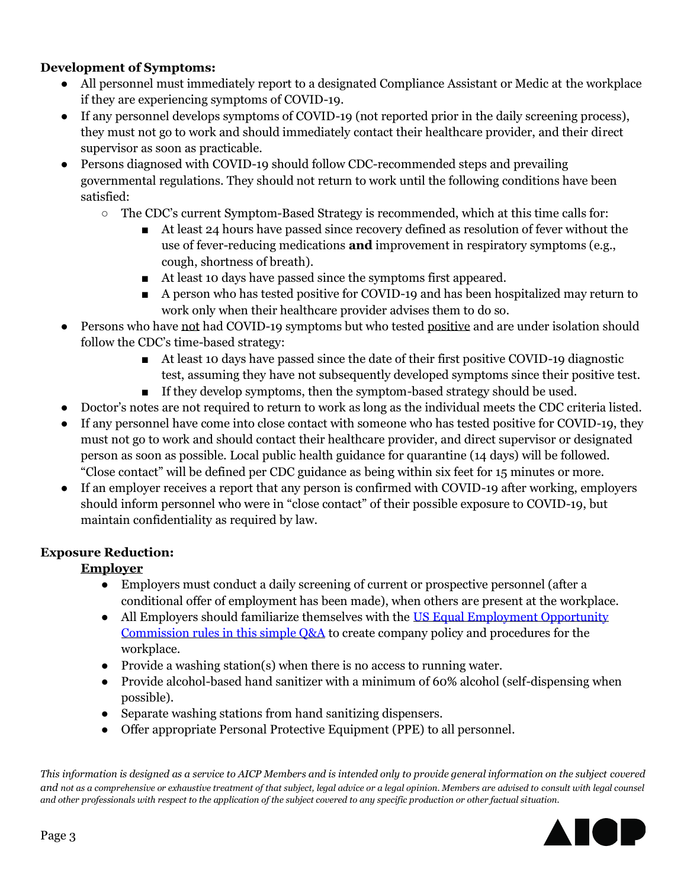# **Development of Symptoms:**

- All personnel must immediately report to a designated Compliance Assistant or Medic at the workplace if they are experiencing symptoms of COVID-19.
- If any personnel develops symptoms of COVID-19 (not reported prior in the daily screening process), they must not go to work and should immediately contact their healthcare provider, and their direct supervisor as soon as practicable.
- Persons diagnosed with COVID-19 should follow CDC-recommended steps and prevailing governmental regulations. They should not return to work until the following conditions have been satisfied:
	- $\circ$  The CDC's current Symptom-Based Strategy is recommended, which at this time calls for:
		- At least 24 hours have passed since recovery defined as resolution of fever without the use of fever-reducing medications **and** improvement in respiratory symptoms (e.g., cough, shortness of breath).
		- At least 10 days have passed since the symptoms first appeared.
		- A person who has tested positive for COVID-19 and has been hospitalized may return to work only when their healthcare provider advises them to do so.
- Persons who have not had COVID-19 symptoms but who tested positive and are under isolation should follow the CDC's time-based strategy:
	- At least 10 days have passed since the date of their first positive COVID-19 diagnostic test, assuming they have not subsequently developed symptoms since their positive test.
	- If they develop symptoms, then the symptom-based strategy should be used.
- Doctor's notes are not required to return to work as long as the individual meets the CDC criteria listed.
- If any personnel have come into close contact with someone who has tested positive for COVID-19, they must not go to work and should contact their healthcare provider, and direct supervisor or designated person as soon as possible. Local public health guidance for quarantine (14 days) will be followed. "Close contact" will be defined per CDC guidance as being within six feet for 15 minutes or more.
- If an employer receives a report that any person is confirmed with COVID-19 after working, employers should inform personnel who were in "close contact" of their possible exposure to COVID-19, but maintain confidentiality as required by law.

# **Exposure Reduction:**

# **Employer**

- Employers must conduct a daily screening of current or prospective personnel (after a conditional offer of employment has been made), when others are present at the workplace.
- All Employers should familiarize themselves with the US Equal Employment Opportunity Commission rules [in this simple Q&A](https://www.eeoc.gov/wysk/what-you-should-know-about-covid-19-and-ada-rehabilitation-act-and-other-eeo-laws) to create company policy and procedures for the workplace.
- Provide a washing station(s) when there is no access to running water.
- Provide alcohol-based hand sanitizer with a minimum of 60% alcohol (self-dispensing when possible).
- Separate washing stations from hand sanitizing dispensers.
- Offer appropriate Personal Protective Equipment (PPE) to all personnel.

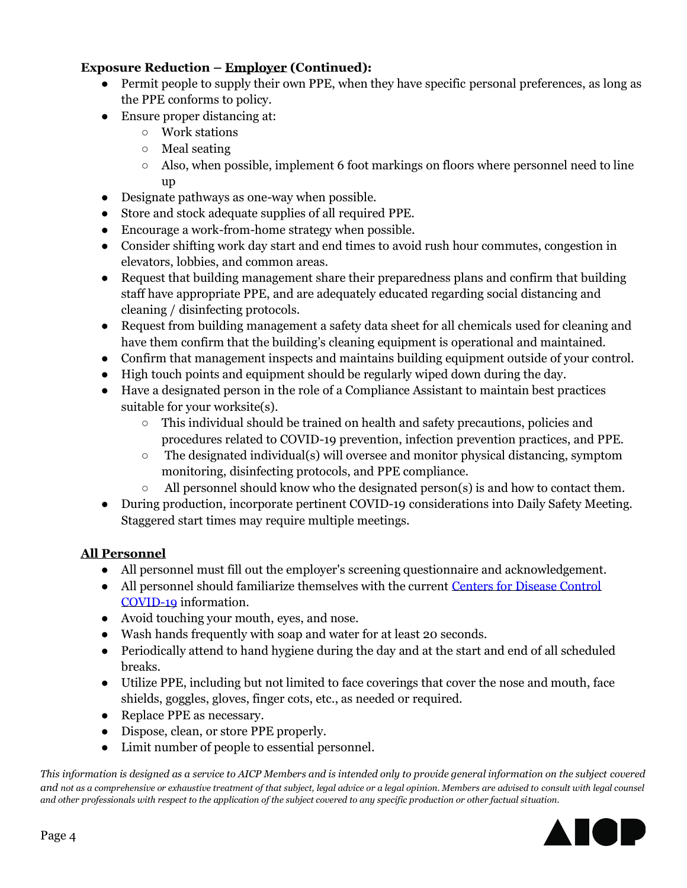# **Exposure Reduction – Employer (Continued):**

- Permit people to supply their own PPE, when they have specific personal preferences, as long as the PPE conforms to policy.
- Ensure proper distancing at:
	- Work stations
	- Meal seating
	- $\circ$  Also, when possible, implement 6 foot markings on floors where personnel need to line  $\overline{11}D$
- Designate pathways as one-way when possible.
- Store and stock adequate supplies of all required PPE.
- Encourage a work-from-home strategy when possible.
- Consider shifting work day start and end times to avoid rush hour commutes, congestion in elevators, lobbies, and common areas.
- Request that building management share their preparedness plans and confirm that building staff have appropriate PPE, and are adequately educated regarding social distancing and cleaning / disinfecting protocols.
- Request from building management a safety data sheet for all chemicals used for cleaning and have them confirm that the building's cleaning equipment is operational and maintained.
- Confirm that management inspects and maintains building equipment outside of your control.
- High touch points and equipment should be regularly wiped down during the day.
- Have a designated person in the role of a Compliance Assistant to maintain best practices suitable for your worksite(s).
	- This individual should be trained on health and safety precautions, policies and procedures related to COVID-19 prevention, infection prevention practices, and PPE.
	- $\circ$  The designated individual(s) will oversee and monitor physical distancing, symptom monitoring, disinfecting protocols, and PPE compliance.
	- All personnel should know who the designated person(s) is and how to contact them.
- During production, incorporate pertinent COVID-19 considerations into Daily Safety Meeting. Staggered start times may require multiple meetings.

## **All Personnel**

- All personnel must fill out the employer's screening questionnaire and acknowledgement.
- All personnel should familiarize themselves with the current [Centers for Disease Control](https://www.cdc.gov/coronavirus/2019-ncov/prevent-getting-sick/how-covid-spreads.html?CDC_AA_refVal=https%3A%2F%2Fwww.cdc.gov%2Fcoronavirus%2F2019-ncov%2Fabout%2Findex.html)  [COVID-19](https://www.cdc.gov/coronavirus/2019-ncov/prevent-getting-sick/how-covid-spreads.html?CDC_AA_refVal=https%3A%2F%2Fwww.cdc.gov%2Fcoronavirus%2F2019-ncov%2Fabout%2Findex.html) information.
- Avoid touching your mouth, eyes, and nose.
- Wash hands frequently with soap and water for at least 20 seconds.
- Periodically attend to hand hygiene during the day and at the start and end of all scheduled breaks.
- Utilize PPE, including but not limited to face coverings that cover the nose and mouth, face shields, goggles, gloves, finger cots, etc., as needed or required.
- Replace PPE as necessary.
- Dispose, clean, or store PPE properly.
- Limit number of people to essential personnel.

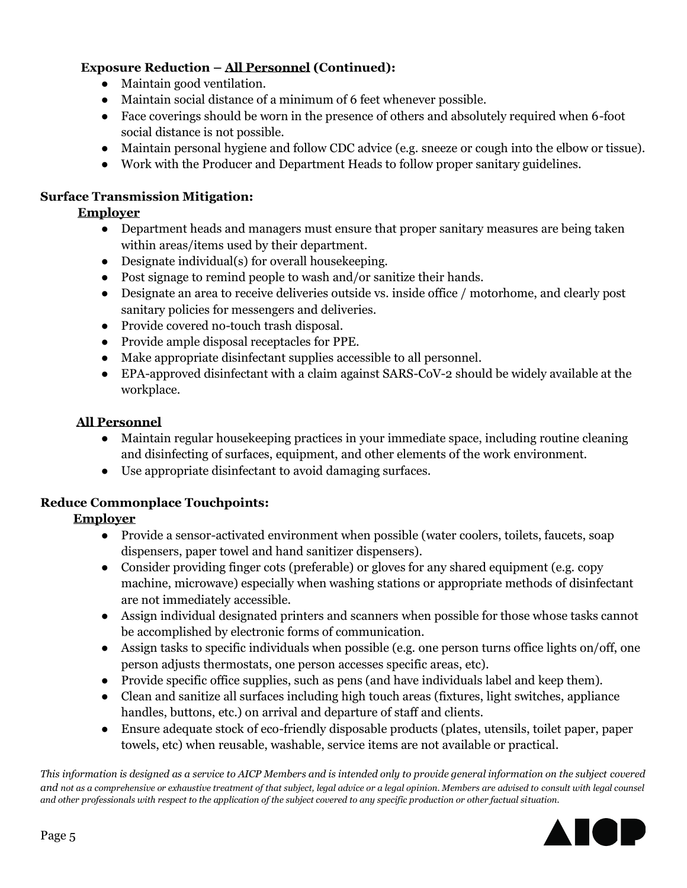# **Exposure Reduction – All Personnel (Continued):**

- Maintain good ventilation.
- Maintain social distance of a minimum of 6 feet whenever possible.
- Face coverings should be worn in the presence of others and absolutely required when 6-foot social distance is not possible.
- Maintain personal hygiene and follow CDC advice (e.g. sneeze or cough into the elbow or tissue).
- Work with the Producer and Department Heads to follow proper sanitary guidelines.

# **Surface Transmission Mitigation:**

## **Employer**

- Department heads and managers must ensure that proper sanitary measures are being taken within areas/items used by their department.
- Designate individual(s) for overall housekeeping.
- Post signage to remind people to wash and/or sanitize their hands.
- Designate an area to receive deliveries outside vs. inside office / motorhome, and clearly post sanitary policies for messengers and deliveries.
- Provide covered no-touch trash disposal.
- Provide ample disposal receptacles for PPE.
- Make appropriate disinfectant supplies accessible to all personnel.
- EPA-approved disinfectant with a claim against SARS-CoV-2 should be widely available at the workplace.

## **All Personnel**

- Maintain regular housekeeping practices in your immediate space, including routine cleaning and disinfecting of surfaces, equipment, and other elements of the work environment.
- Use appropriate disinfectant to avoid damaging surfaces.

# **Reduce Commonplace Touchpoints:**

## **Employer**

- Provide a sensor-activated environment when possible (water coolers, toilets, faucets, soap dispensers, paper towel and hand sanitizer dispensers).
- Consider providing finger cots (preferable) or gloves for any shared equipment (e.g. copy machine, microwave) especially when washing stations or appropriate methods of disinfectant are not immediately accessible.
- Assign individual designated printers and scanners when possible for those whose tasks cannot be accomplished by electronic forms of communication.
- Assign tasks to specific individuals when possible (e.g. one person turns office lights on/off, one person adjusts thermostats, one person accesses specific areas, etc).
- Provide specific office supplies, such as pens (and have individuals label and keep them).
- Clean and sanitize all surfaces including high touch areas (fixtures, light switches, appliance handles, buttons, etc.) on arrival and departure of staff and clients.
- Ensure adequate stock of eco-friendly disposable products (plates, utensils, toilet paper, paper towels, etc) when reusable, washable, service items are not available or practical.

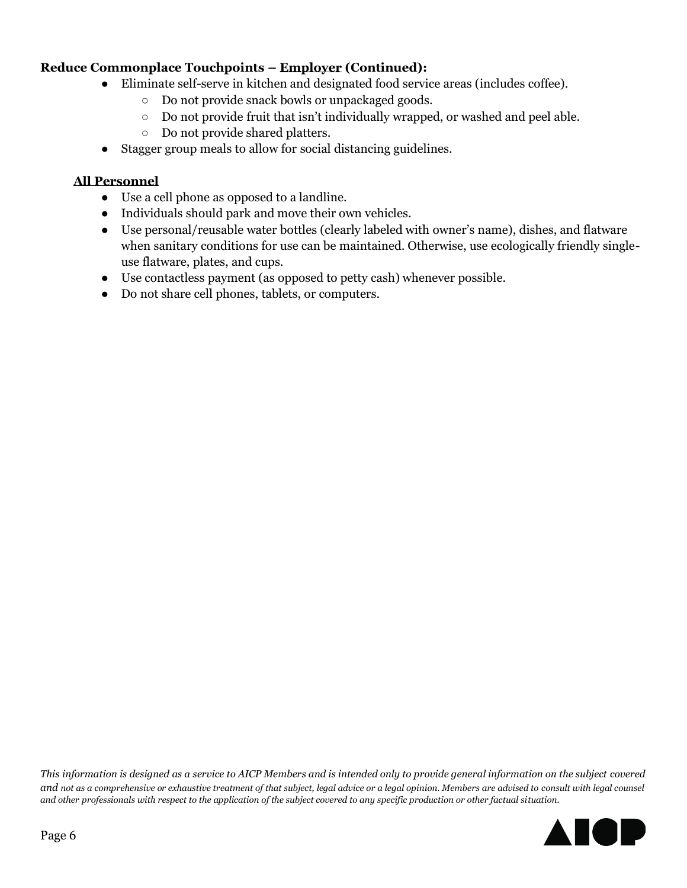# **Reduce Commonplace Touchpoints – Employer (Continued):**

- Eliminate self-serve in kitchen and designated food service areas (includes coffee).
	- Do not provide snack bowls or unpackaged goods.
	- Do not provide fruit that isn't individually wrapped, or washed and peel able.
	- Do not provide shared platters.
- Stagger group meals to allow for social distancing guidelines.

### **All Personnel**

- Use a cell phone as opposed to a landline.
- Individuals should park and move their own vehicles.
- Use personal/reusable water bottles (clearly labeled with owner's name), dishes, and flatware when sanitary conditions for use can be maintained. Otherwise, use ecologically friendly singleuse flatware, plates, and cups.
- Use contactless payment (as opposed to petty cash) whenever possible.
- Do not share cell phones, tablets, or computers.

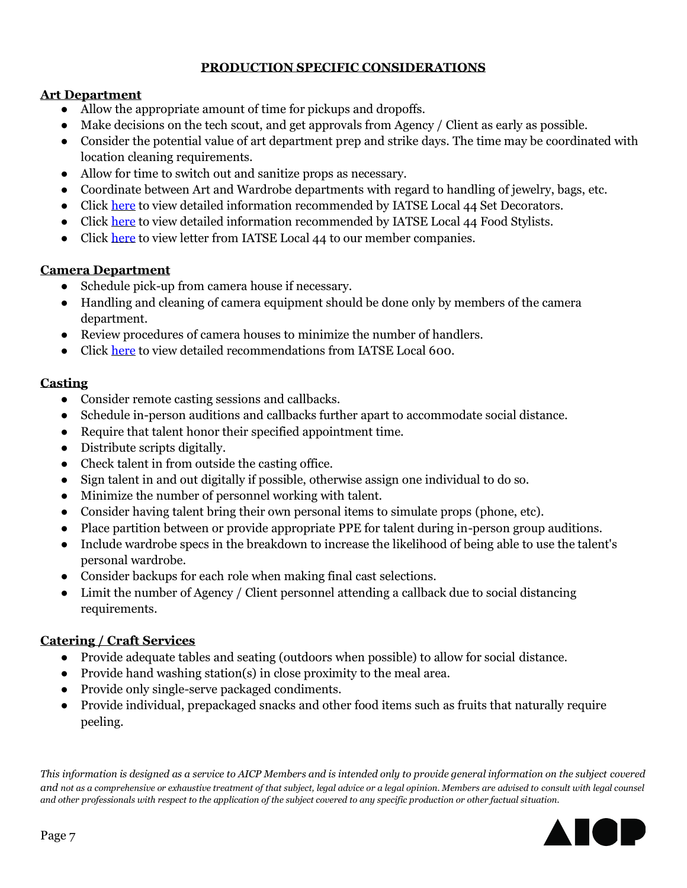# **PRODUCTION SPECIFIC CONSIDERATIONS**

## **Art Department**

- Allow the appropriate amount of time for pickups and dropoffs.
- Make decisions on the tech scout, and get approvals from Agency / Client as early as possible.
- Consider the potential value of art department prep and strike days. The time may be coordinated with location cleaning requirements.
- Allow for time to switch out and sanitize props as necessary.
- Coordinate between Art and Wardrobe departments with regard to handling of jewelry, bags, etc.
- Click [here](https://images.magnetmail.net/images/clients/AICP/attach/Guidelines/GUIDELINES_L44SetDecProtocols.pdf) to view detailed information recommended by IATSE Local 44 Set Decorators.
- Click [here](https://images.magnetmail.net/images/clients/AICP/attach/Guidelines/GUIDELINES_L44FoodStylingProtocols.pdf) to view detailed information recommended by IATSE Local 44 Food Stylists.
- Click [here](https://images.magnetmail.net/images/clients/AICP/attach/Guidelines/GUIDELINES_L44AICPMemberCompLetter.pdf) to view letter from IATSE Local 44 to our member companies.

# **Camera Department**

- Schedule pick-up from camera house if necessary.
- Handling and cleaning of camera equipment should be done only by members of the camera department.
- Review procedures of camera houses to minimize the number of handlers.
- Click [here](https://www.aicp.com/assets/editor/600_Recs.pdf) to view detailed recommendations from IATSE Local 600.

# **Casting**

- Consider remote casting sessions and callbacks.
- Schedule in-person auditions and callbacks further apart to accommodate social distance.
- Require that talent honor their specified appointment time.
- Distribute scripts digitally.
- Check talent in from outside the casting office.
- Sign talent in and out digitally if possible, otherwise assign one individual to do so.
- Minimize the number of personnel working with talent.
- Consider having talent bring their own personal items to simulate props (phone, etc).
- Place partition between or provide appropriate PPE for talent during in-person group auditions.
- Include wardrobe specs in the breakdown to increase the likelihood of being able to use the talent's personal wardrobe.
- Consider backups for each role when making final cast selections.
- Limit the number of Agency / Client personnel attending a callback due to social distancing requirements.

# **Catering / Craft Services**

- Provide adequate tables and seating (outdoors when possible) to allow for social distance.
- Provide hand washing station(s) in close proximity to the meal area.
- Provide only single-serve packaged condiments.
- Provide individual, prepackaged snacks and other food items such as fruits that naturally require peeling.

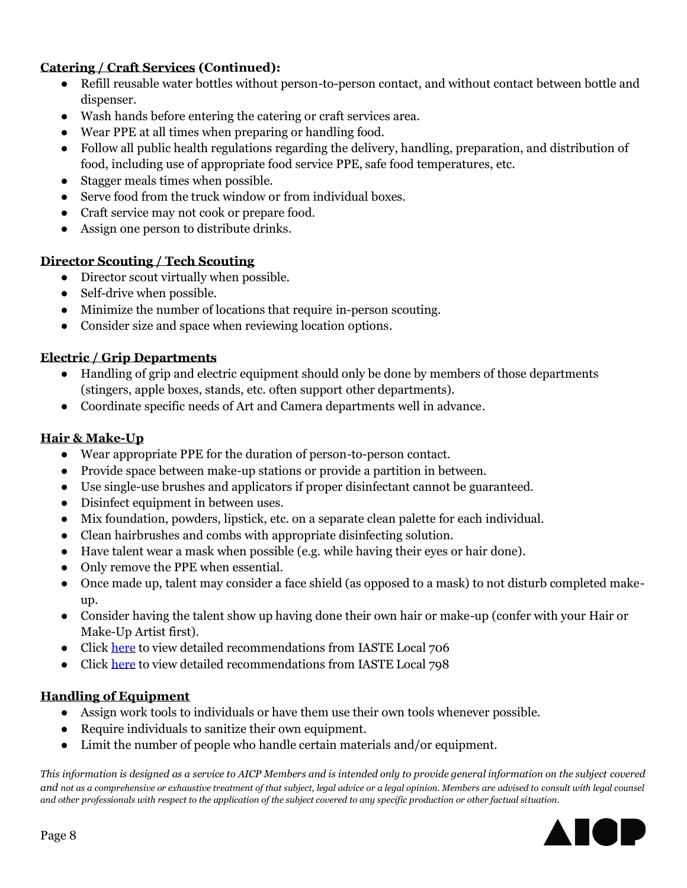## **Catering / Craft Services (Continued):**

- Refill reusable water bottles without person-to-person contact, and without contact between bottle and dispenser.
- Wash hands before entering the catering or craft services area.
- Wear PPE at all times when preparing or handling food.
- Follow all public health regulations regarding the delivery, handling, preparation, and distribution of food, including use of appropriate food service PPE, safe food temperatures, etc.
- Stagger meals times when possible.
- Serve food from the truck window or from individual boxes.
- Craft service may not cook or prepare food.
- Assign one person to distribute drinks.

# **Director Scouting / Tech Scouting**

- Director scout virtually when possible.
- Self-drive when possible.
- Minimize the number of locations that require in-person scouting.
- Consider size and space when reviewing location options.

# **Electric / Grip Departments**

- Handling of grip and electric equipment should only be done by members of those departments (stingers, apple boxes, stands, etc. often support other departments).
- Coordinate specific needs of Art and Camera departments well in advance.

# **Hair & Make-Up**

- Wear appropriate PPE for the duration of person-to-person contact.
- Provide space between make-up stations or provide a partition in between.
- Use single-use brushes and applicators if proper disinfectant cannot be guaranteed.
- Disinfect equipment in between uses.
- Mix foundation, powders, lipstick, etc. on a separate clean palette for each individual.
- Clean hairbrushes and combs with appropriate disinfecting solution.
- Have talent wear a mask when possible (e.g. while having their eyes or hair done).
- Only remove the PPE when essential.
- Once made up, talent may consider a face shield (as opposed to a mask) to not disturb completed makeup.
- Consider having the talent show up having done their own hair or make-up (confer with your Hair or Make-Up Artist first).
- Click [here](https://images.magnetmail.net/images/clients/AICP/attach/Guidelines/GUIDELINES_L706CraftRecs.pdf) to view detailed recommendations from IASTE Local 706
- Click [here](https://www.aicp.com/assets/editor/798_Guidelines.pdf) to view detailed recommendations from IASTE Local 798

## **Handling of Equipment**

- Assign work tools to individuals or have them use their own tools whenever possible.
- Require individuals to sanitize their own equipment.
- Limit the number of people who handle certain materials and/or equipment.

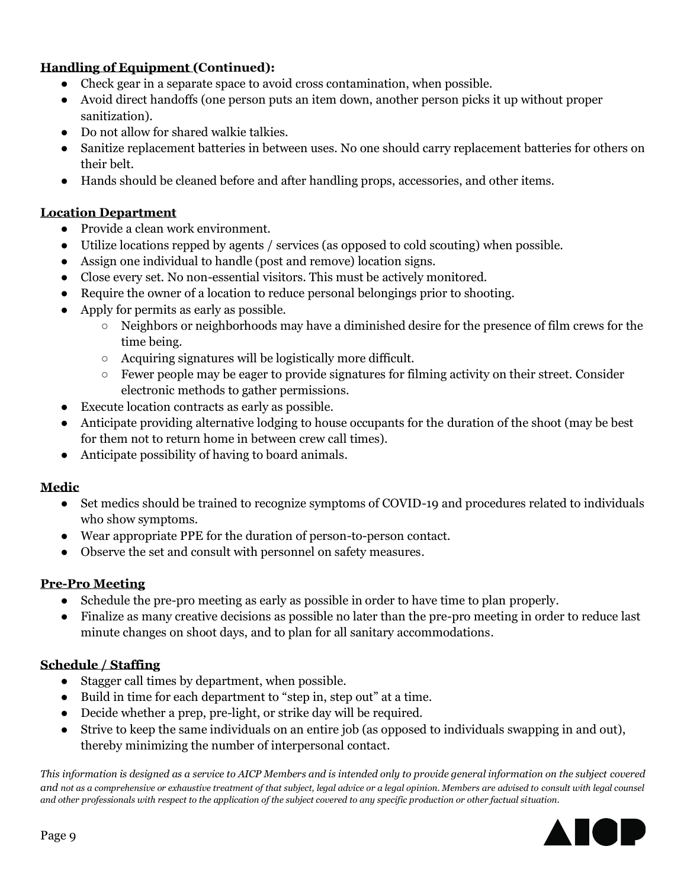# **Handling of Equipment (Continued):**

- Check gear in a separate space to avoid cross contamination, when possible.
- Avoid direct handoffs (one person puts an item down, another person picks it up without proper sanitization).
- Do not allow for shared walkie talkies.
- Sanitize replacement batteries in between uses. No one should carry replacement batteries for others on their belt.
- Hands should be cleaned before and after handling props, accessories, and other items.

### **Location Department**

- Provide a clean work environment.
- Utilize locations repped by agents / services (as opposed to cold scouting) when possible.
- Assign one individual to handle (post and remove) location signs.
- Close every set. No non-essential visitors. This must be actively monitored.
- Require the owner of a location to reduce personal belongings prior to shooting.
- Apply for permits as early as possible.
	- Neighbors or neighborhoods may have a diminished desire for the presence of film crews for the time being.
	- Acquiring signatures will be logistically more difficult.
	- Fewer people may be eager to provide signatures for filming activity on their street. Consider electronic methods to gather permissions.
- Execute location contracts as early as possible.
- Anticipate providing alternative lodging to house occupants for the duration of the shoot (may be best for them not to return home in between crew call times).
- Anticipate possibility of having to board animals.

#### **Medic**

- Set medics should be trained to recognize symptoms of COVID-19 and procedures related to individuals who show symptoms.
- Wear appropriate PPE for the duration of person-to-person contact.
- Observe the set and consult with personnel on safety measures.

#### **Pre-Pro Meeting**

- Schedule the pre-pro meeting as early as possible in order to have time to plan properly.
- Finalize as many creative decisions as possible no later than the pre-pro meeting in order to reduce last minute changes on shoot days, and to plan for all sanitary accommodations.

#### **Schedule / Staffing**

- Stagger call times by department, when possible.
- Build in time for each department to "step in, step out" at a time.
- Decide whether a prep, pre-light, or strike day will be required.
- Strive to keep the same individuals on an entire job (as opposed to individuals swapping in and out), thereby minimizing the number of interpersonal contact.

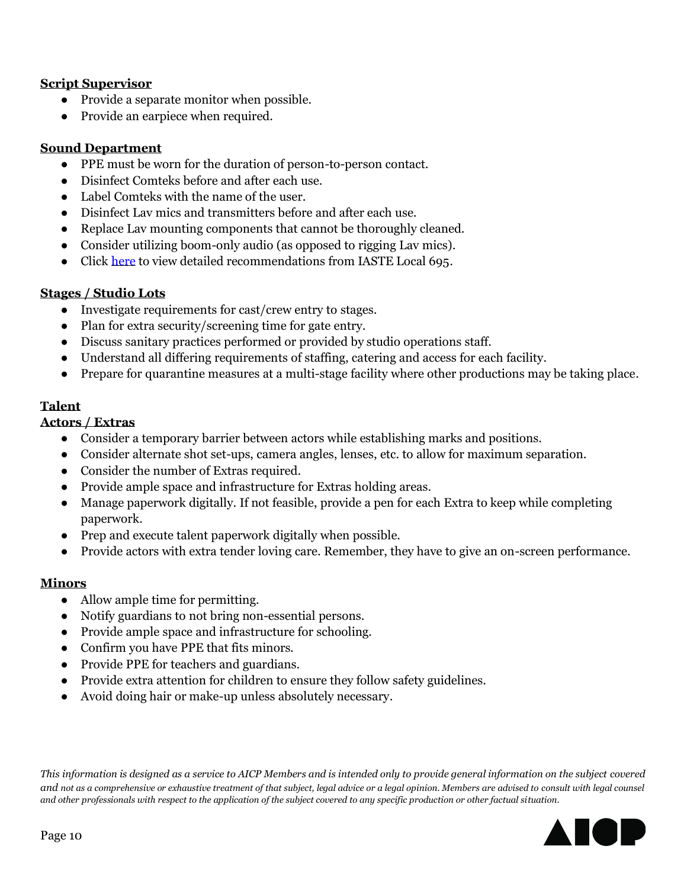#### **Script Supervisor**

- Provide a separate monitor when possible.
- Provide an earpiece when required.

#### **Sound Department**

- PPE must be worn for the duration of person-to-person contact.
- Disinfect Comteks before and after each use.
- Label Comteks with the name of the user.
- Disinfect Lav mics and transmitters before and after each use.
- Replace Lav mounting components that cannot be thoroughly cleaned.
- Consider utilizing boom-only audio (as opposed to rigging Lav mics).
- Click [here](https://images.magnetmail.net/images/clients/AICP/attach/Guidelines/GUIDELINES_L695GuidelinesComm.pdf) to view detailed recommendations from IASTE Local 695.

### **Stages / Studio Lots**

- Investigate requirements for cast/crew entry to stages.
- Plan for extra security/screening time for gate entry.
- Discuss sanitary practices performed or provided by studio operations staff.
- Understand all differing requirements of staffing, catering and access for each facility.
- Prepare for quarantine measures at a multi-stage facility where other productions may be taking place.

### **Talent**

### **Actors / Extras**

- Consider a temporary barrier between actors while establishing marks and positions.
- Consider alternate shot set-ups, camera angles, lenses, etc. to allow for maximum separation.
- Consider the number of Extras required.
- Provide ample space and infrastructure for Extras holding areas.
- Manage paperwork digitally. If not feasible, provide a pen for each Extra to keep while completing paperwork.
- Prep and execute talent paperwork digitally when possible.
- Provide actors with extra tender loving care. Remember, they have to give an on-screen performance.

## **Minors**

- Allow ample time for permitting.
- Notify guardians to not bring non-essential persons.
- Provide ample space and infrastructure for schooling.
- Confirm you have PPE that fits minors.
- Provide PPE for teachers and guardians.
- Provide extra attention for children to ensure they follow safety guidelines.
- Avoid doing hair or make-up unless absolutely necessary.

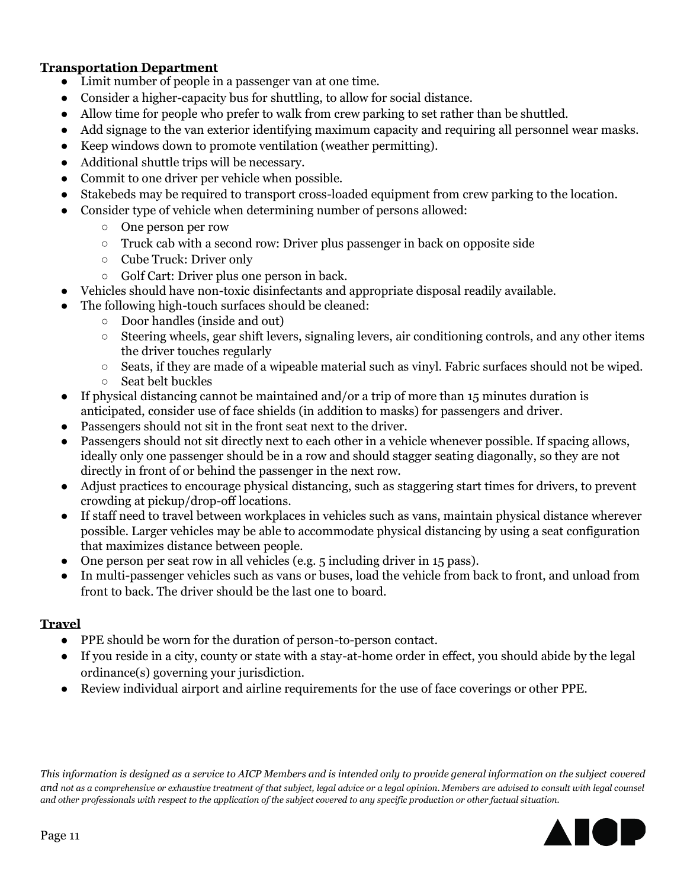### **Transportation Department**

- Limit number of people in a passenger van at one time.
- Consider a higher-capacity bus for shuttling, to allow for social distance.
- Allow time for people who prefer to walk from crew parking to set rather than be shuttled.
- Add signage to the van exterior identifying maximum capacity and requiring all personnel wear masks.
- Keep windows down to promote ventilation (weather permitting).
- Additional shuttle trips will be necessary.
- Commit to one driver per vehicle when possible.
- Stakebeds may be required to transport cross-loaded equipment from crew parking to the location.
- Consider type of vehicle when determining number of persons allowed:
	- One person per row
	- $\circ$  Truck cab with a second row: Driver plus passenger in back on opposite side
	- Cube Truck: Driver only
	- Golf Cart: Driver plus one person in back.
	- Vehicles should have non-toxic disinfectants and appropriate disposal readily available.
- The following high-touch surfaces should be cleaned:
	- Door handles (inside and out)
	- Steering wheels, gear shift levers, signaling levers, air conditioning controls, and any other items the driver touches regularly
	- $\circ$  Seats, if they are made of a wipeable material such as vinyl. Fabric surfaces should not be wiped.
	- Seat belt buckles
- If physical distancing cannot be maintained and/or a trip of more than 15 minutes duration is anticipated, consider use of face shields (in addition to masks) for passengers and driver.
- Passengers should not sit in the front seat next to the driver.
- Passengers should not sit directly next to each other in a vehicle whenever possible. If spacing allows, ideally only one passenger should be in a row and should stagger seating diagonally, so they are not directly in front of or behind the passenger in the next row.
- Adjust practices to encourage physical distancing, such as staggering start times for drivers, to prevent crowding at pickup/drop-off locations.
- If staff need to travel between workplaces in vehicles such as vans, maintain physical distance wherever possible. Larger vehicles may be able to accommodate physical distancing by using a seat configuration that maximizes distance between people.
- One person per seat row in all vehicles (e.g. 5 including driver in 15 pass).
- In multi-passenger vehicles such as vans or buses, load the vehicle from back to front, and unload from front to back. The driver should be the last one to board.

## **Travel**

- PPE should be worn for the duration of person-to-person contact.
- If you reside in a city, county or state with a stay-at-home order in effect, you should abide by the legal ordinance(s) governing your jurisdiction.
- Review individual airport and airline requirements for the use of face coverings or other PPE.

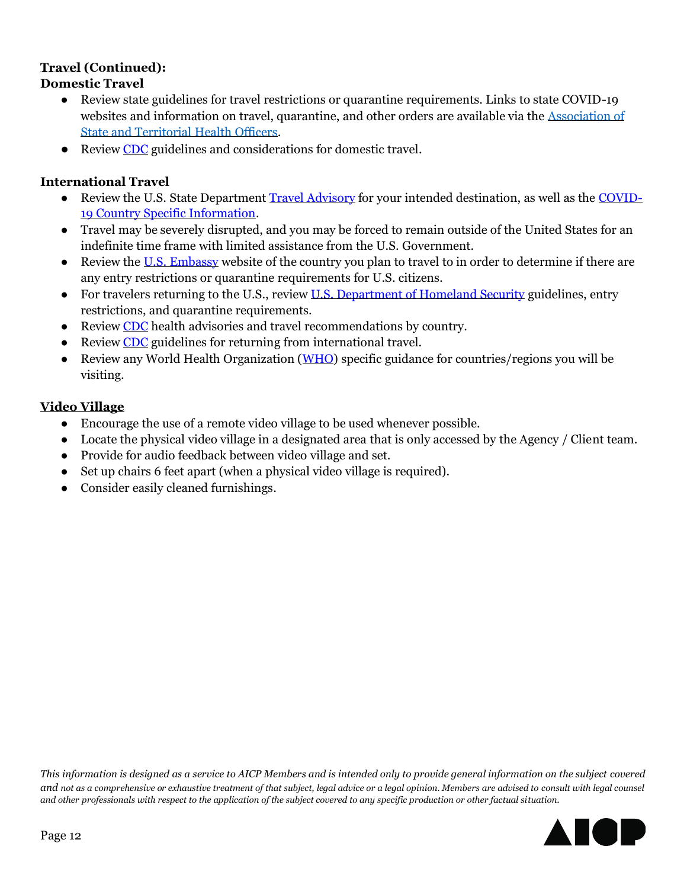### **Travel (Continued): Domestic Travel**

- Review state guidelines for travel restrictions or quarantine requirements. Links to state COVID-19 websites and information on travel, quarantine, and other orders are available via the [Association of](https://coronavirus-astho.hub.arcgis.com/)  [State and Territorial Health Officers.](https://coronavirus-astho.hub.arcgis.com/)
- Review [CDC](https://www.cdc.gov/coronavirus/2019-ncov/travelers/travel-in-the-us.html) guidelines and considerations for domestic travel.

# **International Travel**

- Review the U.S. State Department [Travel Advisory](https://travel.state.gov/content/travel/en/traveladvisories/traveladvisories.html/) for your intended destination, as well as the [COVID-](https://travel.state.gov/content/travel/en/traveladvisories/COVID-19-Country-Specific-Information.html)[19 Country Specific Information.](https://travel.state.gov/content/travel/en/traveladvisories/COVID-19-Country-Specific-Information.html)
- Travel may be severely disrupted, and you may be forced to remain outside of the United States for an indefinite time frame with limited assistance from the U.S. Government.
- Review the [U.S. Embassy](https://www.usembassy.gov/) website of the country you plan to travel to in order to determine if there are any entry restrictions or quarantine requirements for U.S. citizens.
- For travelers returning to the U.S., review [U.S. Department of Homeland Security](https://www.dhs.gov/news/2020/03/13/department-homeland-security-outlines-new-process-americans-returning-certain) guidelines, entry restrictions, and quarantine requirements.
- Review [CDC](https://www.cdc.gov/coronavirus/2019-ncov/travelers/map-and-travel-notices.html) health advisories and travel recommendations by country.
- Review [CDC](https://www.cdc.gov/coronavirus/2019-ncov/travelers/after-travel-precautions.html) guidelines for returning from international travel.
- Review any World Health Organization [\(WHO\)](https://www.who.int/health-topics/coronavirus#tab=tab_1) specific guidance for countries/regions you will be visiting.

## **Video Village**

- Encourage the use of a remote video village to be used whenever possible.
- Locate the physical video village in a designated area that is only accessed by the Agency / Client team.
- Provide for audio feedback between video village and set.
- Set up chairs 6 feet apart (when a physical video village is required).
- Consider easily cleaned furnishings.

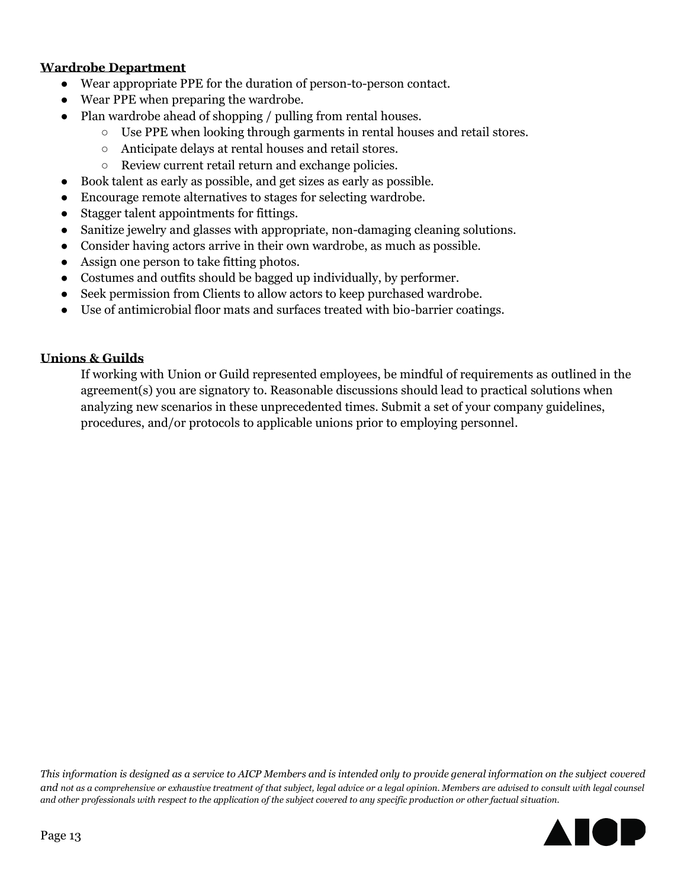### **Wardrobe Department**

- Wear appropriate PPE for the duration of person-to-person contact.
- Wear PPE when preparing the wardrobe.
- Plan wardrobe ahead of shopping / pulling from rental houses.
	- $\circ$  Use PPE when looking through garments in rental houses and retail stores.
	- Anticipate delays at rental houses and retail stores.
	- Review current retail return and exchange policies.
- Book talent as early as possible, and get sizes as early as possible.
- Encourage remote alternatives to stages for selecting wardrobe.
- Stagger talent appointments for fittings.
- Sanitize jewelry and glasses with appropriate, non-damaging cleaning solutions.
- Consider having actors arrive in their own wardrobe, as much as possible.
- Assign one person to take fitting photos.
- Costumes and outfits should be bagged up individually, by performer.
- Seek permission from Clients to allow actors to keep purchased wardrobe.
- Use of antimicrobial floor mats and surfaces treated with bio-barrier coatings.

### **Unions & Guilds**

If working with Union or Guild represented employees, be mindful of requirements as outlined in the agreement(s) you are signatory to. Reasonable discussions should lead to practical solutions when analyzing new scenarios in these unprecedented times. Submit a set of your company guidelines, procedures, and/or protocols to applicable unions prior to employing personnel.

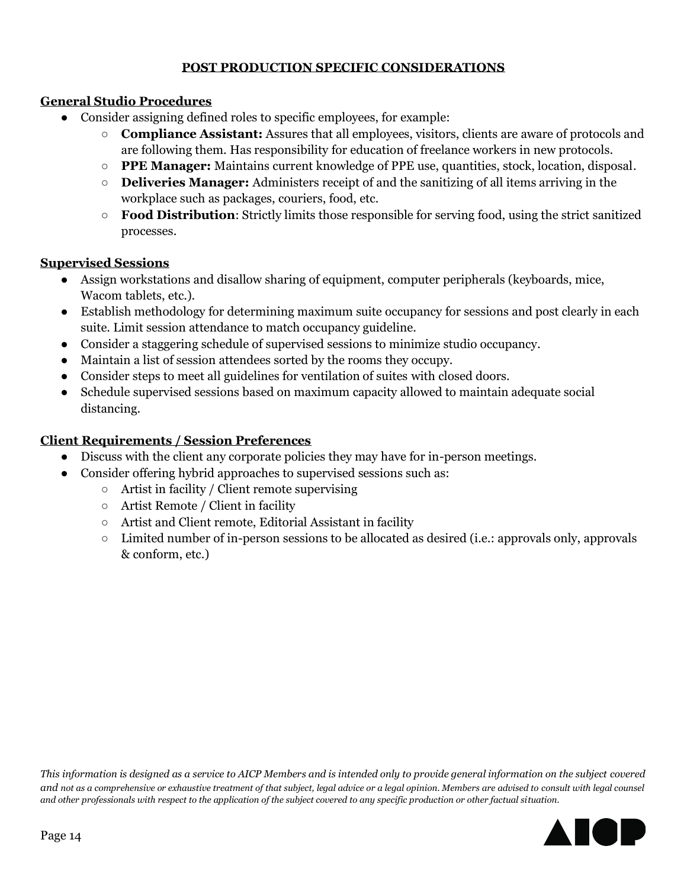## **POST PRODUCTION SPECIFIC CONSIDERATIONS**

# **General Studio Procedures**

- Consider assigning defined roles to specific employees, for example:
	- **Compliance Assistant:** Assures that all employees, visitors, clients are aware of protocols and are following them. Has responsibility for education of freelance workers in new protocols.
	- **PPE Manager:** Maintains current knowledge of PPE use, quantities, stock, location, disposal.
	- **Deliveries Manager:** Administers receipt of and the sanitizing of all items arriving in the workplace such as packages, couriers, food, etc.
	- **Food Distribution**: Strictly limits those responsible for serving food, using the strict sanitized processes.

## **Supervised Sessions**

- Assign workstations and disallow sharing of equipment, computer peripherals (keyboards, mice, Wacom tablets, etc.).
- Establish methodology for determining maximum suite occupancy for sessions and post clearly in each suite. Limit session attendance to match occupancy guideline.
- Consider a staggering schedule of supervised sessions to minimize studio occupancy.
- Maintain a list of session attendees sorted by the rooms they occupy.
- Consider steps to meet all guidelines for ventilation of suites with closed doors.
- Schedule supervised sessions based on maximum capacity allowed to maintain adequate social distancing.

# **Client Requirements / Session Preferences**

- Discuss with the client any corporate policies they may have for in-person meetings.
- Consider offering hybrid approaches to supervised sessions such as:
	- Artist in facility / Client remote supervising
	- Artist Remote / Client in facility
	- Artist and Client remote, Editorial Assistant in facility
	- Limited number of in-person sessions to be allocated as desired (i.e.: approvals only, approvals & conform, etc.)

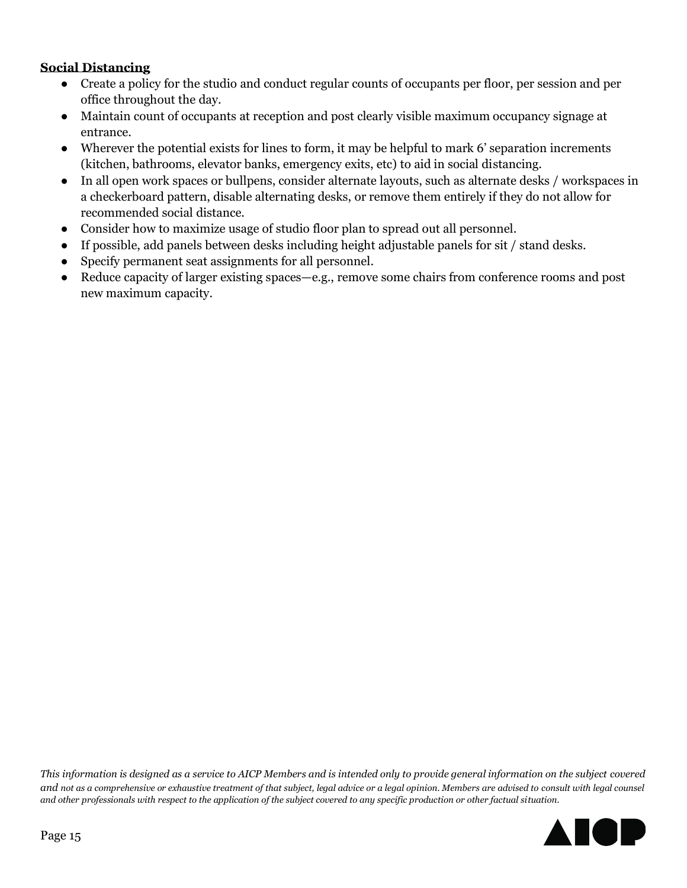### **Social Distancing**

- Create a policy for the studio and conduct regular counts of occupants per floor, per session and per office throughout the day.
- Maintain count of occupants at reception and post clearly visible maximum occupancy signage at entrance.
- Wherever the potential exists for lines to form, it may be helpful to mark 6' separation increments (kitchen, bathrooms, elevator banks, emergency exits, etc) to aid in social distancing.
- In all open work spaces or bullpens, consider alternate layouts, such as alternate desks / workspaces in a checkerboard pattern, disable alternating desks, or remove them entirely if they do not allow for recommended social distance.
- Consider how to maximize usage of studio floor plan to spread out all personnel.
- If possible, add panels between desks including height adjustable panels for sit / stand desks.
- Specify permanent seat assignments for all personnel.
- Reduce capacity of larger existing spaces—e.g., remove some chairs from conference rooms and post new maximum capacity.